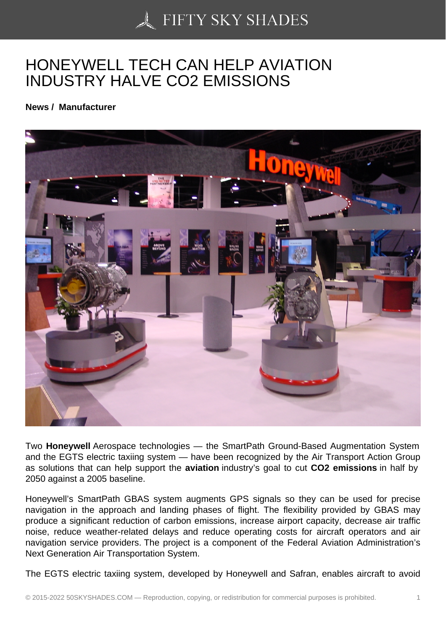## [HONEYWELL TECH C](https://50skyshades.com)AN HELP AVIATION INDUSTRY HALVE CO2 EMISSIONS

News / Manufacturer

Two Honeywell Aerospace technologies — the SmartPath Ground-Based Augmentation System and the EGTS electric taxiing system - have been recognized by the Air Transport Action Group as solutions that can help support the aviation industry's goal to cut CO2 emissions in half by 2050 against a 2005 baseline.

Honeywell's SmartPath GBAS system augments GPS signals so they can be used for precise navigation in the approach and landing phases of flight. The flexibility provided by GBAS may produce a significant reduction of carbon emissions, increase airport capacity, decrease air traffic noise, reduce weather-related delays and reduce operating costs for aircraft operators and air navigation service providers. The project is a component of the Federal Aviation Administration's Next Generation Air Transportation System.

The EGTS electric taxiing system, developed by Honeywell and Safran, enables aircraft to avoid